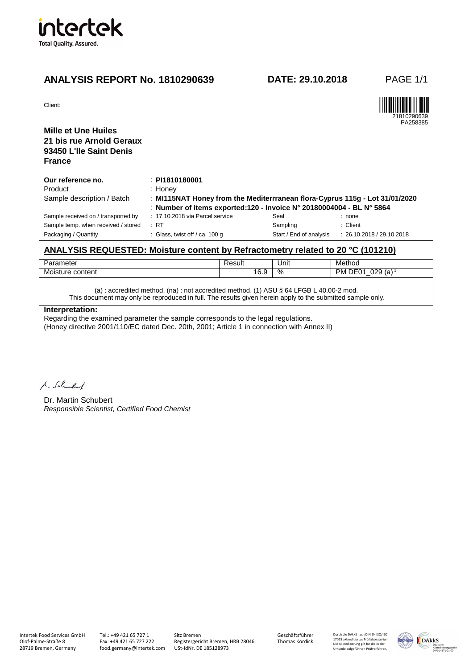

# **ANALYSIS REPORT No. 1810290639 DATE: 29.10.2018** PAGE 1/1

21810290639 PA258385

Client:

### **Mille et Une Huiles 21 bis rue Arnold Geraux 93450 L'lle Saint Denis France**

| Our reference no.                   | : PI1810180001                                                                         |                         |                           |
|-------------------------------------|----------------------------------------------------------------------------------------|-------------------------|---------------------------|
| Product                             | : Honey                                                                                |                         |                           |
| Sample description / Batch          | : MI115NAT Honey from the Mediterrranean flora-Cyprus 115g - Lot 31/01/2020            |                         |                           |
|                                     | : Number of items exported:120 - Invoice $N^{\circ}$ 20180004004 - BL $N^{\circ}$ 5864 |                         |                           |
| Sample received on / transported by | $: 17.10.2018$ via Parcel service                                                      | Seal                    | : none                    |
| Sample temp. when received / stored | : RT                                                                                   | Sampling                | : Client                  |
| Packaging / Quantity                | : Glass, twist off $/$ ca. 100 g                                                       | Start / End of analysis | : 26.10.2018 / 29.10.2018 |

### **ANALYSIS REQUESTED: Moisture content by Refractometry related to 20 °C (101210)**

| -<br>~~~+~<br>້<br>ietei<br>aı<br>.          | המו<br>suli<br>.    | Unit | Method<br>____                                            |
|----------------------------------------------|---------------------|------|-----------------------------------------------------------|
| <b>B</b> <i>B</i><br>Moist<br>content<br>ure | $\epsilon$<br>∽<br> | %    | റാവ<br>$\sim$<br>PМ<br>(al<br>. ⊢<br>ັບເປ<br>$\cdot$<br>_ |
|                                              |                     |      |                                                           |

(a) : accredited method. (na) : not accredited method. (1) ASU § 64 LFGB L 40.00-2 mod.

This document may only be reproduced in full. The results given herein apply to the submitted sample only.

### **Interpretation:**

Regarding the examined parameter the sample corresponds to the legal regulations. (Honey directive 2001/110/EC dated Dec. 20th, 2001; Article 1 in connection with Annex II)

1. Schular

Dr. Martin Schubert Responsible Scientist, Certified Food Chemist